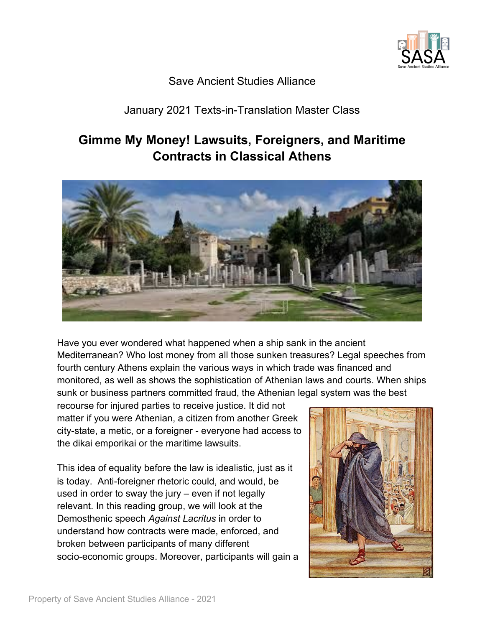

## Save Ancient Studies Alliance

# January 2021 Texts-in-Translation Master Class

# **Gimme My Money! Lawsuits, Foreigners, and Maritime Contracts in Classical Athens**



Have you ever wondered what happened when a ship sank in the ancient Mediterranean? Who lost money from all those sunken treasures? Legal speeches from fourth century Athens explain the various ways in which trade was financed and monitored, as well as shows the sophistication of Athenian laws and courts. When ships sunk or business partners committed fraud, the Athenian legal system was the best

recourse for injured parties to receive justice. It did not matter if you were Athenian, a citizen from another Greek city-state, a metic, or a foreigner - everyone had access to the dikai emporikai or the maritime lawsuits.

This idea of equality before the law is idealistic, just as it is today. Anti-foreigner rhetoric could, and would, be used in order to sway the jury – even if not legally relevant. In this reading group, we will look at the Demosthenic speech *Against Lacritus* in order to understand how contracts were made, enforced, and broken between participants of many different socio-economic groups. Moreover, participants will gain a

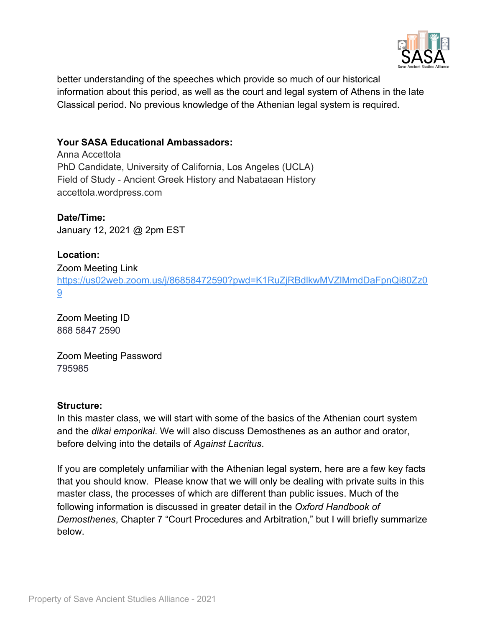

better understanding of the speeches which provide so much of our historical information about this period, as well as the court and legal system of Athens in the late Classical period. No previous knowledge of the Athenian legal system is required.

## **Your SASA Educational Ambassadors:**

Anna Accettola PhD Candidate, University of California, Los Angeles (UCLA) Field of Study - Ancient Greek History and Nabataean History accettola.wordpress.com

## **Date/Time:**

January 12, 2021 @ 2pm EST

## **Location:**

#### Zoom Meeting Link

[https://us02web.zoom.us/j/86858472590?pwd=K1RuZjRBdlkwMVZlMmdDaFpnQi80Zz0](https://us02web.zoom.us/j/86858472590?pwd=K1RuZjRBdlkwMVZlMmdDaFpnQi80Zz09) [9](https://us02web.zoom.us/j/86858472590?pwd=K1RuZjRBdlkwMVZlMmdDaFpnQi80Zz09)

Zoom Meeting ID 868 5847 2590

Zoom Meeting Password 795985

#### **Structure:**

In this master class, we will start with some of the basics of the Athenian court system and the *dikai emporikai*. We will also discuss Demosthenes as an author and orator, before delving into the details of *Against Lacritus*.

If you are completely unfamiliar with the Athenian legal system, here are a few key facts that you should know. Please know that we will only be dealing with private suits in this master class, the processes of which are different than public issues. Much of the following information is discussed in greater detail in the *Oxford Handbook of Demosthenes*, Chapter 7 "Court Procedures and Arbitration," but I will briefly summarize below.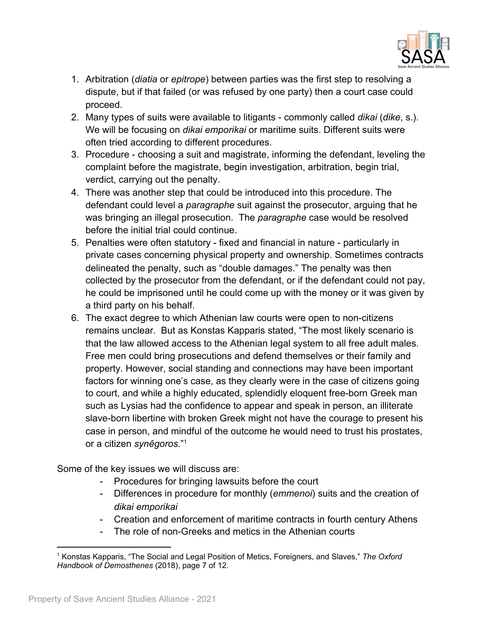

- 1. Arbitration (*diatia* or *epitrope*) between parties was the first step to resolving a dispute, but if that failed (or was refused by one party) then a court case could proceed.
- 2. Many types of suits were available to litigants commonly called *dikai* (*dike*, s.). We will be focusing on *dikai emporikai* or maritime suits. Different suits were often tried according to different procedures.
- 3. Procedure choosing a suit and magistrate, informing the defendant, leveling the complaint before the magistrate, begin investigation, arbitration, begin trial, verdict, carrying out the penalty.
- 4. There was another step that could be introduced into this procedure. The defendant could level a *paragraphe* suit against the prosecutor, arguing that he was bringing an illegal prosecution. The *paragraphe* case would be resolved before the initial trial could continue.
- 5. Penalties were often statutory fixed and financial in nature particularly in private cases concerning physical property and ownership. Sometimes contracts delineated the penalty, such as "double damages." The penalty was then collected by the prosecutor from the defendant, or if the defendant could not pay, he could be imprisoned until he could come up with the money or it was given by a third party on his behalf.
- 6. The exact degree to which Athenian law courts were open to non-citizens remains unclear. But as Konstas Kapparis stated, "The most likely scenario is that the law allowed access to the Athenian legal system to all free adult males. Free men could bring prosecutions and defend themselves or their family and property. However, social standing and connections may have been important factors for winning one's case, as they clearly were in the case of citizens going to court, and while a highly educated, splendidly eloquent free-born Greek man such as Lysias had the confidence to appear and speak in person, an illiterate slave-born libertine with broken Greek might not have the courage to present his case in person, and mindful of the outcome he would need to trust his prostates, or a citizen *synêgoros*."<sup>1</sup>

Some of the key issues we will discuss are:

- Procedures for bringing lawsuits before the court
- Differences in procedure for monthly (*emmenoi*) suits and the creation of *dikai emporikai*
- Creation and enforcement of maritime contracts in fourth century Athens
- The role of non-Greeks and metics in the Athenian courts

<sup>1</sup> Konstas Kapparis, "The Social and Legal Position of Metics, Foreigners, and Slaves," *The Oxford Handbook of Demosthenes* (2018), page 7 of 12.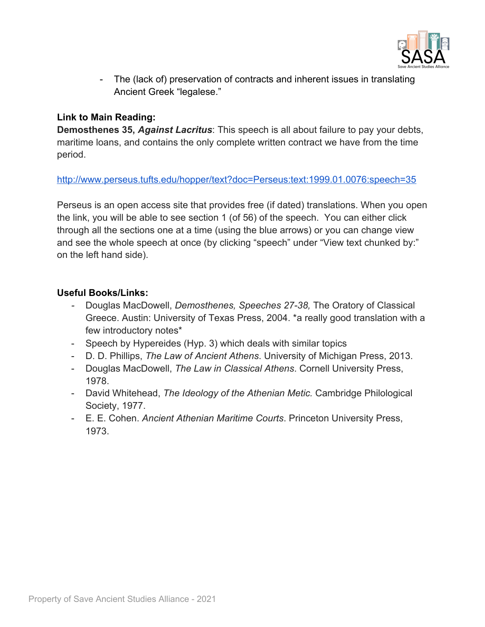

- The (lack of) preservation of contracts and inherent issues in translating Ancient Greek "legalese."

## **Link to Main Reading:**

**Demosthenes 35,** *Against Lacritus*: This speech is all about failure to pay your debts, maritime loans, and contains the only complete written contract we have from the time period.

<http://www.perseus.tufts.edu/hopper/text?doc=Perseus:text:1999.01.0076:speech=35>

Perseus is an open access site that provides free (if dated) translations. When you open the link, you will be able to see section 1 (of 56) of the speech. You can either click through all the sections one at a time (using the blue arrows) or you can change view and see the whole speech at once (by clicking "speech" under "View text chunked by:" on the left hand side).

## **Useful Books/Links:**

- *-* Douglas MacDowell, *Demosthenes, Speeches 27-38,* The Oratory of Classical Greece. Austin: University of Texas Press, 2004. \*a really good translation with a few introductory notes\*
- Speech by Hypereides (Hyp. 3) which deals with similar topics
- D. D. Phillips, *The Law of Ancient Athens*. University of Michigan Press, 2013.
- Douglas MacDowell, *The Law in Classical Athens*. Cornell University Press, 1978.
- David Whitehead, *The Ideology of the Athenian Metic.* Cambridge Philological Society, 1977.
- E. E. Cohen. *Ancient Athenian Maritime Courts*. Princeton University Press, 1973.